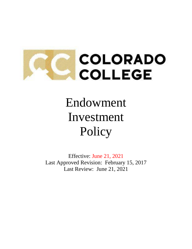

# Endowment Investment Policy

Effective: June 21, 2021 Last Approved Revision: February 15, 2017 Last Review: June 21, 2021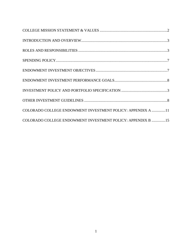| COLORADO COLLEGE ENDOWMENT INVESTMENT POLICY: APPENDIX A 11 |  |
|-------------------------------------------------------------|--|
| COLORADO COLLEGE ENDOWMENT INVESTMENT POLICY: APPENDIX B 15 |  |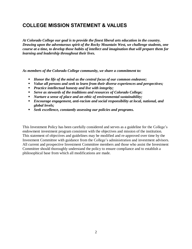## <span id="page-2-0"></span>**COLLEGE MISSION STATEMENT & VALUES**

*At Colorado College our goal is to provide the finest liberal arts education in the country. Drawing upon the adventurous spirit of the Rocky Mountain West, we challenge students, one course at a time, to develop those habits of intellect and imagination that will prepare them for learning and leadership throughout their lives.*

*As members of the Colorado College community, we share a commitment to:*

- *Honor the life of the mind as the central focus of our common endeavor;*
- *Value all persons and seek to learn from their diverse experiences and perspectives;*
- *Practice intellectual honesty and live with integrity;*
- *Serve as stewards of the traditions and resources of Colorado College;*
- *Nurture a sense of place and an ethic of environmental sustainability;*
- *Encourage engagement, anti-racism and social responsibility at local, national, and global levels;*
- *Seek excellence, constantly assessing our policies and programs.*

This Investment Policy has been carefully considered and serves as a guideline for the College's endowment investment program consistent with the objectives and mission of the institution. This statement of objectives and guidelines may be modified and re-approved over time by the Investment Committee with guidance from the College's administration and investment advisors. All current and prospective Investment Committee members and those who assist the Investment Committee should thoroughly understand the policy to ensure compliance and to establish a philosophical base from which all modifications are made.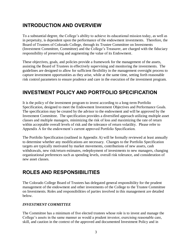## <span id="page-3-0"></span>**INTRODUCTION AND OVERVIEW**

To a substantial degree, the College's ability to achieve its educational mission today, as well as in perpetuity, is dependent upon the performance of the endowment investments. Therefore, the Board of Trustees of Colorado College, through its Trustee Committee on Investments (Investment Committee, Committee) and the College's Treasurer, are charged with the fiduciary responsibility of preserving and augmenting the value of its Endowment.

These objectives, goals, and policies provide a framework for the management of the assets, assisting the Board of Trustees in effectively supervising and monitoring the investments. The guidelines are designed to allow for sufficient flexibility in the management oversight process to capture investment opportunities as they arise, while at the same time, setting forth reasonable risk control parameters to ensure prudence and care in the execution of the investment program.

## <span id="page-3-2"></span>**INVESTMENT POLICY AND PORTFOLIO SPECIFICATION**

It is the policy of the investment program to invest according to a long-term Portfolio Specification, designed to meet the Endowment Investment Objectives and Performance Goals. The specification may be created by the advisor to the endowment and will be approved by the Investment Committee. The specification provides a diversified approach utilizing multiple asset classes and multiple managers, minimizing the risk of loss and maximizing the rate of return within acceptable overall levels of risk and the tolerance of return volatility. Please refer to Appendix A for the endowment's current approved Portfolio Specification.

The Portfolio Specification (outlined in Appendix A) will be formally reviewed at least annually to determine whether any modifications are necessary. Changes to the Portfolio Specification targets are typically motivated by market movements, contributions of new assets, cash withdrawals, new risk/return estimates, redeployment of investments to new managers, changing organizational preferences such as spending levels, overall risk tolerance, and consideration of new asset classes.

## <span id="page-3-1"></span>**ROLES AND RESPONSIBILITIES**

The Colorado College Board of Trustees has delegated general responsibility for the prudent management of the endowment and other investments of the College to the Trustee Committee on Investments. Roles and responsibilities of parties involved in this management are detailed below.

#### *INVESTMENT COMMITTEE*

The Committee has a minimum of five elected trustees whose role is to invest and manage the College's assets in the same manner as would a prudent investor, exercising reasonable care, skill, and caution in the context of the approved and documented Investment Policy and in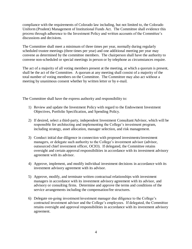compliance with the requirements of Colorado law including, but not limited to, the Colorado Uniform (Prudent) Management of Institutional Funds Act. The Committee shall evidence this process through adherence to the Investment Policy and written accounts of the Committee's discussions and decisions.

The Committee shall meet a minimum of three times per year, normally during regularly scheduled trustee meetings (three times per year) and one additional meeting per year may convene as determined by the committee members. The chairperson shall have the authority to convene non-scheduled or special meetings in person or by telephone as circumstances require.

The act of a majority of all voting members present at the meeting, at which a quorum is present, shall be the act of the Committee. A quorum at any meeting shall consist of a majority of the total number of voting members on the Committee. The Committee may also act without a meeting by unanimous consent whether by written letter or by e-mail.

The Committee shall have the express authority and responsibility to:

- 1) Review and update the Investment Policy with regard to the Endowment Investment Objectives, Portfolio Specification, and Spending Policy.
- 2) If desired, select a third-party, independent Investment Consultant/Advisor, which will be responsible for architecting and implementing the College's investment program, including strategy, asset allocation, manager selection, and risk management.
- 3) Conduct initial due diligence in connection with proposed investments/investment managers, or delegate such authority to the College's investment advisor (advisor, outsourced chief investment officer, OCIO). If delegated, the Committee retains oversight and certain approval responsibilities in accordance with its investment advisory agreement with its advisor.
- 4) Approve, implement, and modify individual investment decisions in accordance with its investment advisory agreement with its advisor.
- 5) Approve, modify, and terminate written contractual relationships with investment managers in accordance with its investment advisory agreement with its advisor, and advisory or consulting firms. Determine and approve the terms and conditions of the service arrangements including the compensation/fee structures.
- 6) Delegate on-going investment/investment manager due diligence to the College's contracted investment advisor and the College's employees. If delegated, the Committee retains oversight and approval responsibilities in accordance with its investment advisory agreement.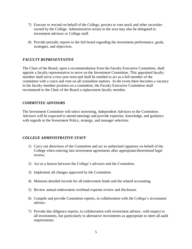- 7) Execute or rescind on behalf of the College, proxies to vote stock and other securities owned by the College. Administrative action in the area may also be delegated to investment advisors or College staff.
- 8) Provide periodic reports to the full board regarding the investment performance, goals, strategies, and objectives.

#### *FACULTY REPRESENTATIVE*

The Chair of the Board, upon a recommendation from the Faculty Executive Committee, shall appoint a faculty representative to serve on the Investment Committee. This appointed faculty member shall serve a two-year term and shall be entitled to act as a full member of the committee with a voice and vote on all committee matters. In the event there becomes a vacancy in the faculty member position on a committee, the Faculty Executive Committee shall recommend to the Chair of the Board a replacement faculty member.

#### *COMMITTEE ADVISORS*

The Investment Committee will select nonvoting, independent Advisors to the Committee. Advisors will be expected to attend meetings and provide expertise, knowledge, and guidance with regards to the Investment Policy, strategy, and manager selection.

#### *COLLEGE ADMINISTRATIVE STAFF*

- 1) Carry out directions of the Committee and act as authorized signatory on behalf of the College when entering into investment agreements after appropriate/determined legal review;
- 2) Act as a liaison between the College's advisors and the Committee.
- 3) Implement all changes approved by the Committee.
- 4) Maintain detailed records for all endowment funds and the related accounting.
- 5) Review annual endowment overhead expense review and disclosure.
- 6) Compile and provide Committee reports, in collaboration with the College's investment advisor.
- 7) Provide due diligence reports, in collaboration with investment advisor, with respect to all investments, but particularly to alternative investments as appropriate to meet all audit requirements.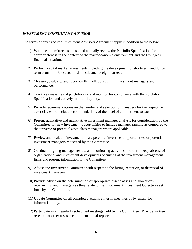#### *INVESTMENT CONSULTANT/ADVISOR*

The terms of any executed Investment Advisory Agreement apply in addition to the below.

- 1) With the committee, establish and annually review the Portfolio Specification for appropriateness in the context of the macroeconomic environment and the College's financial situation.
- 2) Perform capital market assessments including the development of short-term and longterm economic forecasts for domestic and foreign markets.
- 3) Measure, evaluate, and report on the College's current investment managers and performance.
- 4) Track key measures of portfolio risk and monitor for compliance with the Portfolio Specification and actively monitor liquidity.
- 5) Provide recommendations on the number and selection of managers for the respective asset classes, to include recommendations of the level of commitment to each.
- 6) Present qualitative and quantitative investment manager analysis for consideration by the Committee for new investment opportunities to include manager ranking as compared to the universe of potential asset class managers where applicable.
- 7) Review and evaluate investment ideas, potential investment opportunities, or potential investment managers requested by the Committee.
- 8) Conduct on-going manager review and monitoring activities in order to keep abreast of organizational and investment developments occurring at the investment management firms and present information to the Committee.
- 9) Advise the Investment Committee with respect to the hiring, retention, or dismissal of investment managers.
- 10) Provide advice on the determination of appropriate asset classes and allocations, rebalancing, and managers as they relate to the Endowment Investment Objectives set forth by the Committee.
- 11) Update Committee on all completed actions either in meetings or by email, for information only.
- 12) Participate in all regularly scheduled meetings held by the Committee. Provide written research or other assessment informational reports.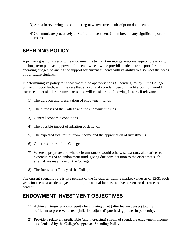- 13) Assist in reviewing and completing new investment subscription documents.
- 14) Communicate proactively to Staff and Investment Committee on any significant portfolio issues.

## <span id="page-7-0"></span>**SPENDING POLICY**

A primary goal for investing the endowment is to maintain intergenerational equity, preserving the long-term purchasing power of the endowment while providing adequate support for the operating budget, balancing the support for current students with its ability to also meet the needs of our future students.

In determining its policy for endowment fund appropriations ('Spending Policy'), the College will act in good faith, with the care that an ordinarily prudent person in a like position would exercise under similar circumstances, and will consider the following factors, if relevant:

- 1) The duration and preservation of endowment funds
- 2) The purposes of the College and the endowment funds
- 3) General economic conditions
- 4) The possible impact of inflation or deflation
- 5) The expected total return from income and the appreciation of investments
- 6) Other resources of the College
- 7) Where appropriate and where circumstances would otherwise warrant, alternatives to expenditures of an endowment fund, giving due consideration to the effect that such alternatives may have on the College
- 8) The Investment Policy of the College

The current spending rate is five percent of the 12-quarter trailing market values as of 12/31 each year, for the next academic year, limiting the annual increase to five percent or decrease to one percent.

## <span id="page-7-1"></span>**ENDOWMENT INVESTMENT OBJECTIVES**

- 1) Achieve intergenerational equity by attaining a net (after fees/expenses) total return sufficient to preserve its real (inflation adjusted) purchasing power in perpetuity.
- 2) Provide a relatively predictable (and increasing) stream of spendable endowment income as calculated by the College's approved Spending Policy.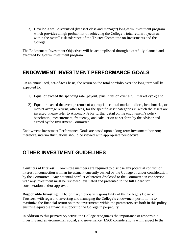3) Develop a well-diversified (by asset class and manager) long-term investment program which provides a high probability of achieving the College's total return objectives, within the overall risk tolerance of the Trustee Committee on Investments and the College.

The Endowment Investment Objectives will be accomplished through a carefully planned and executed long-term investment program.

## <span id="page-8-0"></span>**ENDOWMENT INVESTMENT PERFORMANCE GOALS**

On an annualized, net-of-fees basis, the return on the total portfolio over the long term will be expected to:

- 1) Equal or exceed the spending rate (payout) plus inflation over a full market cycle; and,
- 2) Equal or exceed the average return of appropriate capital market indices, benchmarks, or market average returns, after fees, for the specific asset categories in which the assets are invested. Please refer to Appendix A for further detail on the endowment's policy benchmark, measurement, frequency, and calculation as set forth by the advisor and agreed by the Investment Committee.

Endowment Investment Performance Goals are based upon a long-term investment horizon; therefore, interim fluctuations should be viewed with appropriate perspective.

## <span id="page-8-1"></span>**OTHER INVESTMENT GUIDELINES**

**Conflicts of Interest**: Committee members are required to disclose any potential conflict of interest in connection with an investment currently owned by the College or under consideration by the Committee. Any potential conflict of interest disclosed to the Committee in connection with any investment must be reviewed, evaluated and presented to the full Board for consideration and/or approval.

**Responsible Investing:** The primary fiduciary responsibility of the College's Board of Trustees, with regard to investing and managing the College's endowment portfolio, is to maximize the financial return on these investments within the parameters set forth in this policy ensuring equitable financial support to the College in perpetuity.

In addition to this primary objective, the College recognizes the importance of responsible investing and environmental, social, and governance (ESG) considerations with respect to the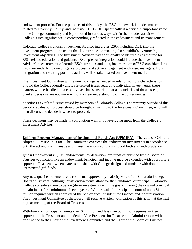endowment portfolio. For the purposes of this policy, the ESG framework includes matters related to Diversity, Equity, and Inclusion (DEI). DEI specifically is a critically important value to the College community and is promoted in various ways within the broader activities of the College. Such significance is correspondingly reflected in the endowment and its management.

Colorado College's chosen Investment Advisor integrates ESG, including DEI, into the investment program to the extent that it contributes to meeting the portfolio's overarching investment objectives. The Investment Advisor may additionally be utilized as a resource for ESG-related education and guidance. Examples of integration could include the Investment Advisor's measurement of certain ESG attributes and data, incorporation of ESG considerations into their underlying due diligence process, and active engagement with asset managers. ESG integration and resulting portfolio actions will be taken based on investment merit.

The Investment Committee will review holdings as needed in relation to ESG characteristics. Should the College identify any ESG-related issues regarding individual investments, these matters will be handled on a case-by-case basis ensuring that as fiduciaries of these assets, blanket decisions are not made without a clear understanding of the consequences.

Specific ESG-related issues raised by members of Colorado College's community outside of this periodic evaluation process should be brought in writing to the Investment Committee, who will then discuss and decide how best to proceed.

These decisions may be made in conjunction with or by leveraging input from the College's Investment Advisor.

**Uniform Prudent Management of Institutional Funds Act (UPMIFA):** The state of Colorado adopted UPMIFA in 2008. The Committee oversees the endowment investments in accordance with the act and shall manage and invest the endowed funds in good faith and with prudence.

**Quasi Endowments**: Quasi endowments, by definition, are funds established by the Board of Trustees to function like an endowment. Principal and income may be expended with appropriate approval. Quasi endowments are established with College-designated funds or with donor unrestricted gift funds.

Any new quasi endowment requires formal approval by majority vote of the Colorado College Board of Trustees. Although quasi endowments allow for the withdrawal of principal, Colorado College considers them to be long-term investments with the goal of having the original principal remain intact for a minimum of seven years. Withdrawal of a principal amount of up to \$1 million requires written approval of the Senior Vice President for Finance and Administration. The Investment Committee of the Board will receive written notification of this action at the next regular meeting of the Board of Trustees.

Withdrawal of principal amounts over \$1 million and less than \$3 million requires written approval of the President and the Senior Vice President for Finance and Administration with prior notice to the Chair of the Investment Committee and the Chair of the Board of Trustees.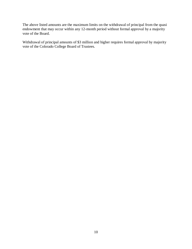The above listed amounts are the maximum limits on the withdrawal of principal from the quasi endowment that may occur within any 12-month period without formal approval by a majority vote of the Board.

Withdrawal of principal amounts of \$3 million and higher requires formal approval by majority vote of the Colorado College Board of Trustees.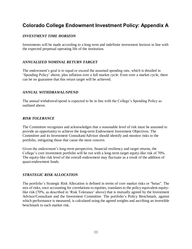## <span id="page-11-0"></span>**Colorado College Endowment Investment Policy: Appendix A**

#### *INVESTMENT TIME HORIZON*

Investments will be made according to a long term and indefinite investment horizon in line with the expected perpetual operating life of the institution.

#### *ANNUALIZED NOMINAL RETURN TARGET*

The endowment's goal is to equal or exceed the assumed spending rate, which is detailed in 'Spending Policy' above, plus inflation over a full market cycle. Even over a market cycle, there can be no guarantee that this return target will be achieved.

#### *ANNUAL WITHDRAWAL/SPEND*

The annual withdrawal/spend is expected to be in line with the College's Spending Policy as outlined above.

#### *RISK TOLERANCE*

The Committee recognizes and acknowledges that a reasonable level of risk must be assumed to provide an opportunity to achieve the long-term Endowment Investment Objectives. The Committee and its Investment Consultant/Advisor should identify and monitor risks to the portfolio, mitigating those that cause the most concern.

Given the endowment's long-term perspective, financial resiliency and target returns, the College's core investment portfolio will be run with a long-term target equity-like risk of 70%. The equity-like risk level of the overall endowment may fluctuate as a result of the addition of quasi-endowment funds.

#### *STRATEGIC RISK ALLOCATION*

The portfolio's Strategic Risk Allocation is defined in terms of core market risks or "betas". The mix of risks, once accounting for correlations to equities, translates to the policy equivalent equitylike risk (70%, as described in 'Risk Tolerance' above) that is mutually agreed by the Investment Advisor/Consultant and the Investment Committee. The portfolio's Policy Benchmark, against which performance is measured, is calculated using the agreed weights and ascribing an investible benchmark to each market risk.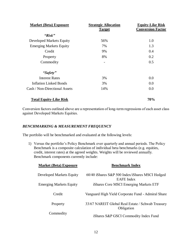| <b>Market (Beta) Exposure</b>  | <b>Strategic Allocation</b><br><b>Target</b> | <b>Equity-Like Risk</b><br><b>Conversion Factor</b> |  |
|--------------------------------|----------------------------------------------|-----------------------------------------------------|--|
| "Risk"                         |                                              |                                                     |  |
| Developed Markets Equity       | 56%                                          | 1.0                                                 |  |
| <b>Emerging Markets Equity</b> | 7%                                           | 1.3                                                 |  |
| Credit                         | 9%                                           | 0.4                                                 |  |
| Property                       | 8%                                           | 0.2                                                 |  |
| Commodity                      | -                                            | 0.5                                                 |  |
| "Safety"                       |                                              |                                                     |  |
| <b>Interest Rates</b>          | 3%                                           | 0.0                                                 |  |
| Inflation Linked Bonds         | 3%                                           | 0.0                                                 |  |
| Cash / Non-Directional Assets  | 14%                                          | 0.0                                                 |  |

#### **Total Equity-Like Risk 70%**

Conversion factors outlined above are a representation of long-term regressions of each asset class against Developed Markets Equities.

#### *BENCHMARKING & MEASUREMENT FREQUENCY*

The portfolio will be benchmarked and evaluated at the following levels:

1) Versus the portfolio's Policy Benchmark over quarterly and annual periods. The Policy Benchmark is a composite calculation of individual beta benchmarks (e.g. equities, credit, interest rates) at the agreed weights. Weights will be reviewed annually. Benchmark components currently include:

| <b>Market (Beta) Exposure</b>   | <b>Benchmark Index</b>                                               |  |  |
|---------------------------------|----------------------------------------------------------------------|--|--|
| <b>Developed Markets Equity</b> | 60/40 iShares S&P 500 Index/iShares MSCI Hedged<br><b>EAFE</b> Index |  |  |
| <b>Emerging Markets Equity</b>  | iShares Core MSCI Emerging Markets ETF                               |  |  |
| Credit                          | Vanguard High Yield Corporate Fund - Admiral Share                   |  |  |
| Property                        | 33/67 NAREIT Global Real Estate / Schwab Treasury<br>Obligation      |  |  |
| Commodity                       | iShares S&P GSCI Commodity Index Fund                                |  |  |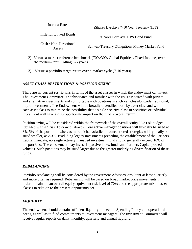| Interest Rates                   | iShares Barclays 7-10 Year Treasury (IEF)     |
|----------------------------------|-----------------------------------------------|
| <b>Inflation Linked Bonds</b>    | iShares Barclays TIPS Bond Fund               |
| Cash / Non-Directional<br>Assets | Schwab Treasury Obligations Money Market Fund |

- 2) Versus a market reference benchmark (70%/30% Global Equities / Fixed Income) over the medium term (rolling 3-5 years).
- 3) Versus a portfolio target return over a market cycle (7-10 years).

#### *ASSET CLASS RESTRICTIONS & POSITION SIZING*

There are no current restrictions in terms of the asset classes in which the endowment can invest. The Investment Committee is sophisticated and familiar with the risks associated with private and alternative investments and comfortable with positions in such vehicles alongside traditional, liquid investments. The Endowment will be broadly diversified both by asset class and within each asset class to minimize the possibility that a single security, class of securities or individual investment will have a disproportionate impact on the fund's overall return.

Position sizing will be considered within the framework of the overall equity-like risk budget (detailed within 'Risk Tolerance' above). Core active manager positions will typically be sized at 3%-5% of the portfolio, whereas more niche, volatile, or concentrated strategies will typically be sized smaller, at 2-3%. Excluding legacy investments preceding the establishment of the Partners Capital mandate, no single actively managed investment fund should generally exceed 10% of the portfolio. The endowment may invest in passive index funds and Partners Capital pooled vehicles. Such positions may be sized larger due to the greater underlying diversification of these funds.

#### *REBALANCING*

Portfolio rebalancing will be considered by the Investment Advisor/Consultant at least quarterly and more often as required. Rebalancing will be based on broad market price movements in order to maintain an overall equity equivalent risk level of 70% and the appropriate mix of asset classes in relation to the present opportunity set.

#### *LIQUIDITY*

The endowment should contain sufficient liquidity to meet its Spending Policy and operational needs, as well as to fund commitments to investment managers. The Investment Committee will receive regular reports on daily, monthly, quarterly and annual liquidity.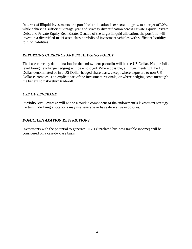In terms of illiquid investments, the portfolio's allocation is expected to grow to a target of 30%, while achieving sufficient vintage year and strategy diversification across Private Equity, Private Debt, and Private Equity Real Estate. Outside of the target illiquid allocation, the portfolio will invest in a diversified multi-asset class portfolio of investment vehicles with sufficient liquidity to fund liabilities.

#### *REPORTING CURRENCY AND FX HEDGING POLICY*

The base currency denomination for the endowment portfolio will be the US Dollar. No portfolio level foreign exchange hedging will be employed. Where possible, all investments will be US Dollar-denominated or in a US Dollar-hedged share class, except where exposure to non-US Dollar currencies is an explicit part of the investment rationale, or where hedging costs outweigh the benefit to risk-return trade-off.

#### *USE OF LEVERAGE*

Portfolio-level leverage will not be a routine component of the endowment's investment strategy. Certain underlying allocations may use leverage or have derivative exposures.

#### *DOMICILE/TAXATION RESTRICTIONS*

Investments with the potential to generate UBTI (unrelated business taxable income) will be considered on a case-by-case basis.